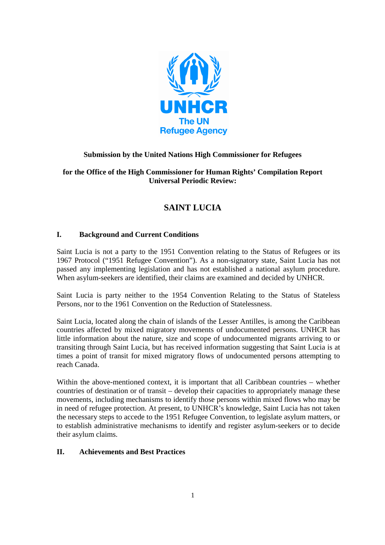

# **Submission by the United Nations High Commissioner for Refugees**

## **for the Office of the High Commissioner for Human Rights' Compilation Report Universal Periodic Review:**

# **SAINT LUCIA**

### **I. Background and Current Conditions**

Saint Lucia is not a party to the 1951 Convention relating to the Status of Refugees or its 1967 Protocol ("1951 Refugee Convention"). As a non-signatory state, Saint Lucia has not passed any implementing legislation and has not established a national asylum procedure. When asylum-seekers are identified, their claims are examined and decided by UNHCR.

Saint Lucia is party neither to the 1954 Convention Relating to the Status of Stateless Persons, nor to the 1961 Convention on the Reduction of Statelessness.

Saint Lucia, located along the chain of islands of the Lesser Antilles, is among the Caribbean countries affected by mixed migratory movements of undocumented persons. UNHCR has little information about the nature, size and scope of undocumented migrants arriving to or transiting through Saint Lucia, but has received information suggesting that Saint Lucia is at times a point of transit for mixed migratory flows of undocumented persons attempting to reach Canada.

Within the above-mentioned context, it is important that all Caribbean countries – whether countries of destination or of transit – develop their capacities to appropriately manage these movements, including mechanisms to identify those persons within mixed flows who may be in need of refugee protection. At present, to UNHCR's knowledge, Saint Lucia has not taken the necessary steps to accede to the 1951 Refugee Convention, to legislate asylum matters, or to establish administrative mechanisms to identify and register asylum-seekers or to decide their asylum claims.

#### **II. Achievements and Best Practices**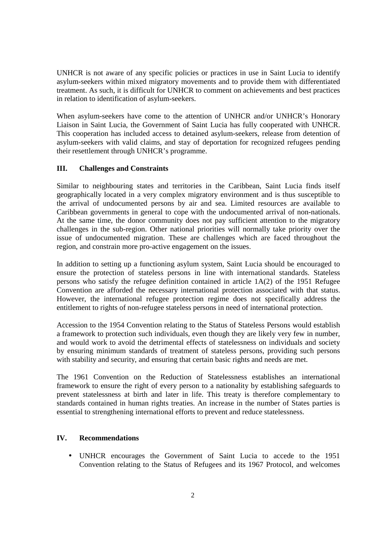UNHCR is not aware of any specific policies or practices in use in Saint Lucia to identify asylum-seekers within mixed migratory movements and to provide them with differentiated treatment. As such, it is difficult for UNHCR to comment on achievements and best practices in relation to identification of asylum-seekers.

When asylum-seekers have come to the attention of UNHCR and/or UNHCR's Honorary Liaison in Saint Lucia, the Government of Saint Lucia has fully cooperated with UNHCR. This cooperation has included access to detained asylum-seekers, release from detention of asylum-seekers with valid claims, and stay of deportation for recognized refugees pending their resettlement through UNHCR's programme.

#### **III. Challenges and Constraints**

Similar to neighbouring states and territories in the Caribbean, Saint Lucia finds itself geographically located in a very complex migratory environment and is thus susceptible to the arrival of undocumented persons by air and sea. Limited resources are available to Caribbean governments in general to cope with the undocumented arrival of non-nationals. At the same time, the donor community does not pay sufficient attention to the migratory challenges in the sub-region. Other national priorities will normally take priority over the issue of undocumented migration. These are challenges which are faced throughout the region, and constrain more pro-active engagement on the issues.

In addition to setting up a functioning asylum system, Saint Lucia should be encouraged to ensure the protection of stateless persons in line with international standards. Stateless persons who satisfy the refugee definition contained in article 1A(2) of the 1951 Refugee Convention are afforded the necessary international protection associated with that status. However, the international refugee protection regime does not specifically address the entitlement to rights of non-refugee stateless persons in need of international protection.

Accession to the 1954 Convention relating to the Status of Stateless Persons would establish a framework to protection such individuals, even though they are likely very few in number, and would work to avoid the detrimental effects of statelessness on individuals and society by ensuring minimum standards of treatment of stateless persons, providing such persons with stability and security, and ensuring that certain basic rights and needs are met.

The 1961 Convention on the Reduction of Statelessness establishes an international framework to ensure the right of every person to a nationality by establishing safeguards to prevent statelessness at birth and later in life. This treaty is therefore complementary to standards contained in human rights treaties. An increase in the number of States parties is essential to strengthening international efforts to prevent and reduce statelessness.

#### **IV. Recommendations**

• UNHCR encourages the Government of Saint Lucia to accede to the 1951 Convention relating to the Status of Refugees and its 1967 Protocol, and welcomes